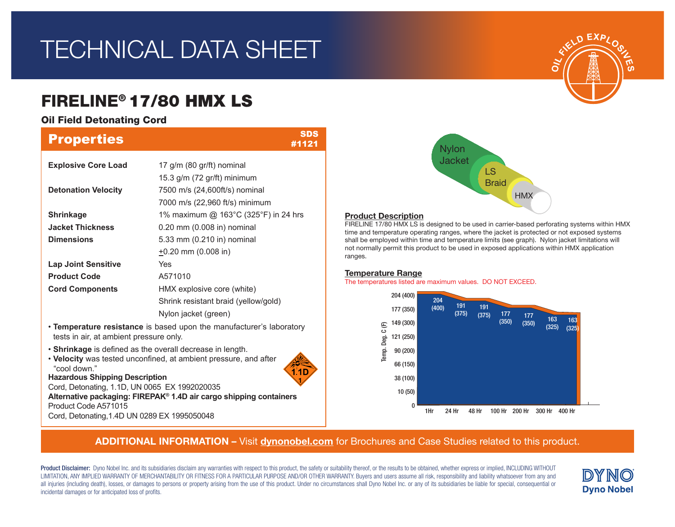# TECHNICAL DATA SHEET

# FIRELINE® 17/80 HMX LS

Oil Field Detonating Cord

| <b>Properties</b>                                                         | <b>SDS</b><br>#1121                                                  |  |  |  |  |
|---------------------------------------------------------------------------|----------------------------------------------------------------------|--|--|--|--|
| <b>Explosive Core Load</b>                                                | 17 g/m (80 gr/ft) nominal                                            |  |  |  |  |
|                                                                           | 15.3 g/m (72 gr/ft) minimum                                          |  |  |  |  |
| <b>Detonation Velocity</b>                                                | 7500 m/s (24,600ft/s) nominal                                        |  |  |  |  |
|                                                                           | 7000 m/s (22,960 ft/s) minimum                                       |  |  |  |  |
| <b>Shrinkage</b>                                                          | 1% maximum @ 163°C (325°F) in 24 hrs                                 |  |  |  |  |
| <b>Jacket Thickness</b>                                                   | 0.20 mm (0.008 in) nominal                                           |  |  |  |  |
| <b>Dimensions</b>                                                         | 5.33 mm (0.210 in) nominal                                           |  |  |  |  |
|                                                                           | $\pm$ 0.20 mm (0.008 in)                                             |  |  |  |  |
| <b>Lap Joint Sensitive</b>                                                | Yes                                                                  |  |  |  |  |
| <b>Product Code</b>                                                       | A571010                                                              |  |  |  |  |
| <b>Cord Components</b>                                                    | HMX explosive core (white)                                           |  |  |  |  |
|                                                                           | Shrink resistant braid (yellow/gold)                                 |  |  |  |  |
|                                                                           | Nylon jacket (green)                                                 |  |  |  |  |
| tests in air, at ambient pressure only.                                   | • Temperature resistance is based upon the manufacturer's laboratory |  |  |  |  |
| . Shrinkage is defined as the overall decrease in length.<br>"cool down." | • Velocity was tested unconfined, at ambient pressure, and after     |  |  |  |  |

**Hazardous Shipping Description**

Cord, Detonating, 1.1D, UN 0065 EX 1992020035

**Alternative packaging: FIREPAK® 1.4D air cargo shipping containers** Product Code A571015

Cord, Detonating,1.4D UN 0289 EX 1995050048

## **Nylon** Jacket LS **Braid HMX**

### Product Description

FIRELINE 17/80 HMX LS is designed to be used in carrier-based perforating systems within HMX time and temperature operating ranges, where the jacket is protected or not exposed systems shall be employed within time and temperature limits (see graph). Nylon jacket limitations will not normally permit this product to be used in exposed applications within HMX application ranges.

### Temperature Range

The temperatures listed are maximum values. DO NOT EXCEED.



## ADDITIONAL INFORMATION – Visit dynonobel.com for Brochures and Case Studies related to this product.

Product Disclaimer: Dyno Nobel Inc. and its subsidiaries disclaim any warranties with respect to this product, the safety or suitability thereof, or the results to be obtained, whether express or implied, INCLUDING WITHOUT LIMITATION, ANY IMPLIED WARRANTY OF MERCHANTABILITY OR FITNESS FOR A PARTICULAR PURPOSE AND/OR OTHER WARRANTY. Buyers and users assume all risk, responsibility and liability whatsoever from any and all injuries (including death), losses, or damages to persons or property arising from the use of this product. Under no circumstances shall Dyno Nobel Inc. or any of its subsidiaries be liable for special, consequential o incidental damages or for anticipated loss of profits.